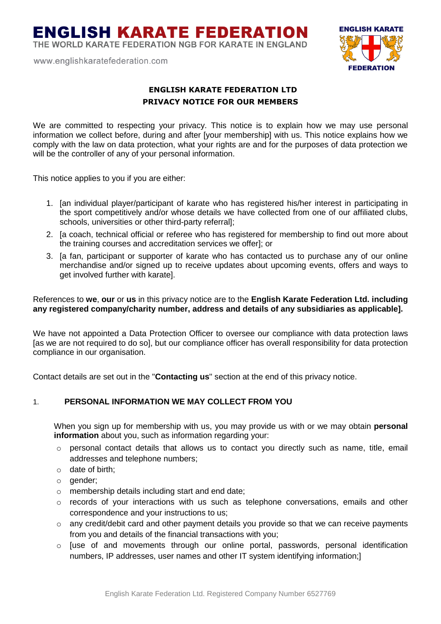THE WORLD KARATE FEDERATION NGB FOR KARATE IN ENGLAND

www.englishkaratefederation.com



### **ENGLISH KARATE FEDERATION LTD PRIVACY NOTICE FOR OUR MEMBERS**

We are committed to respecting your privacy. This notice is to explain how we may use personal information we collect before, during and after [your membership] with us. This notice explains how we comply with the law on data protection, what your rights are and for the purposes of data protection we will be the controller of any of your personal information.

This notice applies to you if you are either:

- 1. [an individual player/participant of karate who has registered his/her interest in participating in the sport competitively and/or whose details we have collected from one of our affiliated clubs, schools, universities or other third-party referral];
- 2. [a coach, technical official or referee who has registered for membership to find out more about the training courses and accreditation services we offer]; or
- 3. [a fan, participant or supporter of karate who has contacted us to purchase any of our online merchandise and/or signed up to receive updates about upcoming events, offers and ways to get involved further with karate].

### References to **we**, **our** or **us** in this privacy notice are to the **English Karate Federation Ltd. including any registered company/charity number, address and details of any subsidiaries as applicable].**

We have not appointed a Data Protection Officer to oversee our compliance with data protection laws [as we are not required to do so], but our compliance officer has overall responsibility for data protection compliance in our organisation.

Contact details are set out in the "**Contacting us**" section at the end of this privacy notice.

### 1. **PERSONAL INFORMATION WE MAY COLLECT FROM YOU**

When you sign up for membership with us, you may provide us with or we may obtain **personal information** about you, such as information regarding your:

- o personal contact details that allows us to contact you directly such as name, title, email addresses and telephone numbers;
- o date of birth;
- o gender;
- o membership details including start and end date;
- $\circ$  records of your interactions with us such as telephone conversations, emails and other correspondence and your instructions to us;
- o any credit/debit card and other payment details you provide so that we can receive payments from you and details of the financial transactions with you;
- o [use of and movements through our online portal, passwords, personal identification numbers, IP addresses, user names and other IT system identifying information;]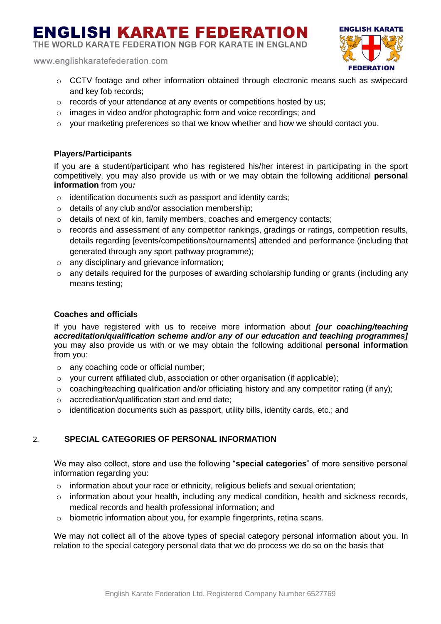THE WORLD KARATE FEDERATION NGB FOR KARATE IN ENGLAND

www.englishkaratefederation.com

- **ENGLISH KARATE FEDERATION**
- o CCTV footage and other information obtained through electronic means such as swipecard and key fob records;
- o records of your attendance at any events or competitions hosted by us;
- o images in video and/or photographic form and voice recordings; and
- o your marketing preferences so that we know whether and how we should contact you.

### **Players/Participants**

If you are a student/participant who has registered his/her interest in participating in the sport competitively, you may also provide us with or we may obtain the following additional **personal information** from you*:*

- o identification documents such as passport and identity cards;
- o details of any club and/or association membership;
- o details of next of kin, family members, coaches and emergency contacts;
- o records and assessment of any competitor rankings, gradings or ratings, competition results, details regarding [events/competitions/tournaments] attended and performance (including that generated through any sport pathway programme);
- o any disciplinary and grievance information;
- o any details required for the purposes of awarding scholarship funding or grants (including any means testing;

### **Coaches and officials**

If you have registered with us to receive more information about *[our coaching/teaching accreditation/qualification scheme and/or any of our education and teaching programmes]* you may also provide us with or we may obtain the following additional **personal information** from you:

- o any coaching code or official number;
- $\circ$  your current affiliated club, association or other organisation (if applicable);
- $\circ$  coaching/teaching qualification and/or officiating history and any competitor rating (if any);
- o accreditation/qualification start and end date;
- $\circ$  identification documents such as passport, utility bills, identity cards, etc.; and

### 2. **SPECIAL CATEGORIES OF PERSONAL INFORMATION**

We may also collect, store and use the following "**special categories**" of more sensitive personal information regarding you:

- o information about your race or ethnicity, religious beliefs and sexual orientation;
- o information about your health, including any medical condition, health and sickness records, medical records and health professional information; and
- $\circ$  biometric information about you, for example fingerprints, retina scans.

We may not collect all of the above types of special category personal information about you. In relation to the special category personal data that we do process we do so on the basis that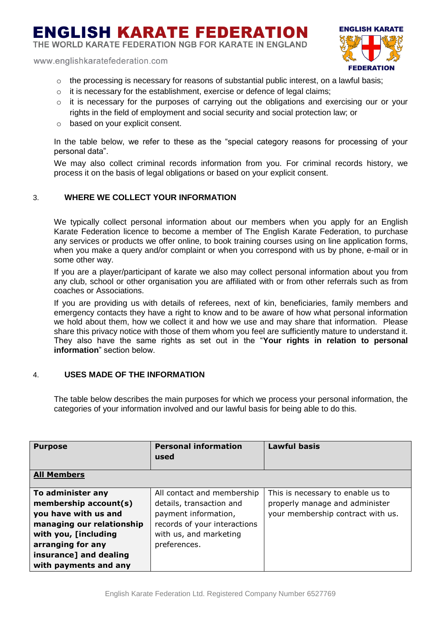THE WORLD KARATE FEDERATION NGB FOR KARATE IN ENGLAND

www.englishkaratefederation.com



- $\circ$  the processing is necessary for reasons of substantial public interest, on a lawful basis;
- $\circ$  it is necessary for the establishment, exercise or defence of legal claims;
- $\circ$  it is necessary for the purposes of carrying out the obligations and exercising our or your rights in the field of employment and social security and social protection law; or
- o based on your explicit consent.

In the table below, we refer to these as the "special category reasons for processing of your personal data".

We may also collect criminal records information from you. For criminal records history, we process it on the basis of legal obligations or based on your explicit consent.

### 3. **WHERE WE COLLECT YOUR INFORMATION**

We typically collect personal information about our members when you apply for an English Karate Federation licence to become a member of The English Karate Federation, to purchase any services or products we offer online*,* to book training courses using on line application forms, when you make a query and/or complaint or when you correspond with us by phone, e-mail or in some other way.

If you are a player/participant of karate we also may collect personal information about you from any club, school or other organisation you are affiliated with or from other referrals such as from coaches or Associations.

If you are providing us with details of referees, next of kin, beneficiaries, family members and emergency contacts they have a right to know and to be aware of how what personal information we hold about them, how we collect it and how we use and may share that information. Please share this privacy notice with those of them whom you feel are sufficiently mature to understand it. They also have the same rights as set out in the "**Your rights in relation to personal information**" section below.

### 4. **USES MADE OF THE INFORMATION**

The table below describes the main purposes for which we process your personal information, the categories of your information involved and our lawful basis for being able to do this.

| <b>Purpose</b>            | <b>Personal information</b><br>used | <b>Lawful basis</b>               |
|---------------------------|-------------------------------------|-----------------------------------|
| <b>All Members</b>        |                                     |                                   |
| To administer any         | All contact and membership          | This is necessary to enable us to |
| membership account(s)     | details, transaction and            | properly manage and administer    |
| you have with us and      | payment information,                | your membership contract with us. |
| managing our relationship | records of your interactions        |                                   |
| with you, [including      | with us, and marketing              |                                   |
| arranging for any         | preferences.                        |                                   |
| insurance] and dealing    |                                     |                                   |
| with payments and any     |                                     |                                   |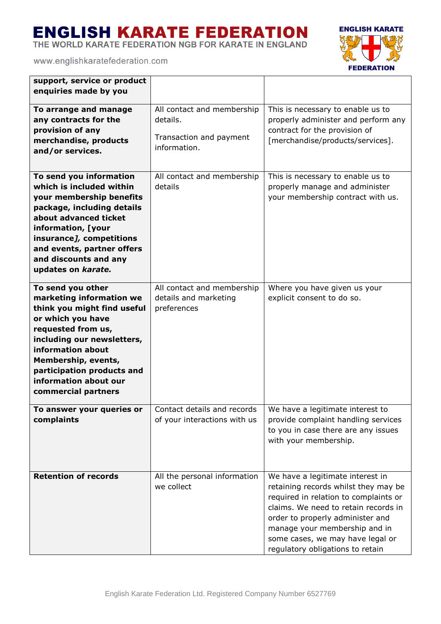THE WORLD KARATE FEDERATION NGB FOR KARATE IN ENGLAND



| support, service or product<br>enquiries made by you                                                                                                                                                                                                                            |                                                                                   |                                                                                                                                                                                                                                                                                                        |
|---------------------------------------------------------------------------------------------------------------------------------------------------------------------------------------------------------------------------------------------------------------------------------|-----------------------------------------------------------------------------------|--------------------------------------------------------------------------------------------------------------------------------------------------------------------------------------------------------------------------------------------------------------------------------------------------------|
| To arrange and manage<br>any contracts for the<br>provision of any<br>merchandise, products<br>and/or services.                                                                                                                                                                 | All contact and membership<br>details.<br>Transaction and payment<br>information. | This is necessary to enable us to<br>properly administer and perform any<br>contract for the provision of<br>[merchandise/products/services].                                                                                                                                                          |
| To send you information<br>which is included within<br>your membership benefits<br>package, including details<br>about advanced ticket<br>information, [your<br>insurance], competitions<br>and events, partner offers<br>and discounts and any<br>updates on karate.           | All contact and membership<br>details                                             | This is necessary to enable us to<br>properly manage and administer<br>your membership contract with us.                                                                                                                                                                                               |
| To send you other<br>marketing information we<br>think you might find useful<br>or which you have<br>requested from us,<br>including our newsletters,<br>information about<br>Membership, events,<br>participation products and<br>information about our<br>commercial partners | All contact and membership<br>details and marketing<br>preferences                | Where you have given us your<br>explicit consent to do so.                                                                                                                                                                                                                                             |
| To answer your queries or<br>complaints                                                                                                                                                                                                                                         | of your interactions with us                                                      | Contact details and records   We have a legitimate interest to<br>provide complaint handling services<br>to you in case there are any issues<br>with your membership.                                                                                                                                  |
| <b>Retention of records</b>                                                                                                                                                                                                                                                     | All the personal information<br>we collect                                        | We have a legitimate interest in<br>retaining records whilst they may be<br>required in relation to complaints or<br>claims. We need to retain records in<br>order to properly administer and<br>manage your membership and in<br>some cases, we may have legal or<br>regulatory obligations to retain |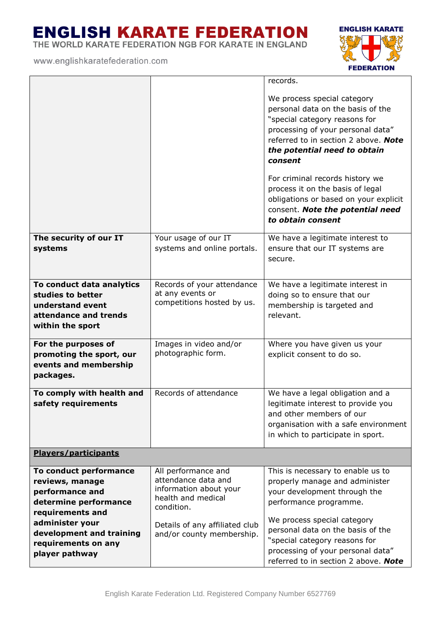THE WORLD KARATE FEDERATION NGB FOR KARATE IN ENGLAND



|                                                                                                                                                                                                   |                                                                                                                                                                         | records.                                                                                                                                                                                                                                                                                                        |
|---------------------------------------------------------------------------------------------------------------------------------------------------------------------------------------------------|-------------------------------------------------------------------------------------------------------------------------------------------------------------------------|-----------------------------------------------------------------------------------------------------------------------------------------------------------------------------------------------------------------------------------------------------------------------------------------------------------------|
|                                                                                                                                                                                                   |                                                                                                                                                                         | We process special category<br>personal data on the basis of the<br>"special category reasons for<br>processing of your personal data"<br>referred to in section 2 above. Note<br>the potential need to obtain<br>consent                                                                                       |
|                                                                                                                                                                                                   |                                                                                                                                                                         | For criminal records history we<br>process it on the basis of legal<br>obligations or based on your explicit<br>consent. Note the potential need<br>to obtain consent                                                                                                                                           |
| The security of our IT<br>systems                                                                                                                                                                 | Your usage of our IT<br>systems and online portals.                                                                                                                     | We have a legitimate interest to<br>ensure that our IT systems are<br>secure.                                                                                                                                                                                                                                   |
| To conduct data analytics<br>studies to better<br>understand event<br>attendance and trends<br>within the sport                                                                                   | Records of your attendance<br>at any events or<br>competitions hosted by us.                                                                                            | We have a legitimate interest in<br>doing so to ensure that our<br>membership is targeted and<br>relevant.                                                                                                                                                                                                      |
| For the purposes of<br>promoting the sport, our<br>events and membership<br>packages.                                                                                                             | Images in video and/or<br>photographic form.                                                                                                                            | Where you have given us your<br>explicit consent to do so.                                                                                                                                                                                                                                                      |
| To comply with health and<br>safety requirements                                                                                                                                                  | Records of attendance                                                                                                                                                   | We have a legal obligation and a<br>legitimate interest to provide you<br>and other members of our<br>organisation with a safe environment<br>in which to participate in sport.                                                                                                                                 |
| <b>Players/participants</b>                                                                                                                                                                       |                                                                                                                                                                         |                                                                                                                                                                                                                                                                                                                 |
| To conduct performance<br>reviews, manage<br>performance and<br>determine performance<br>requirements and<br>administer your<br>development and training<br>requirements on any<br>player pathway | All performance and<br>attendance data and<br>information about your<br>health and medical<br>condition.<br>Details of any affiliated club<br>and/or county membership. | This is necessary to enable us to<br>properly manage and administer<br>your development through the<br>performance programme.<br>We process special category<br>personal data on the basis of the<br>"special category reasons for<br>processing of your personal data"<br>referred to in section 2 above. Note |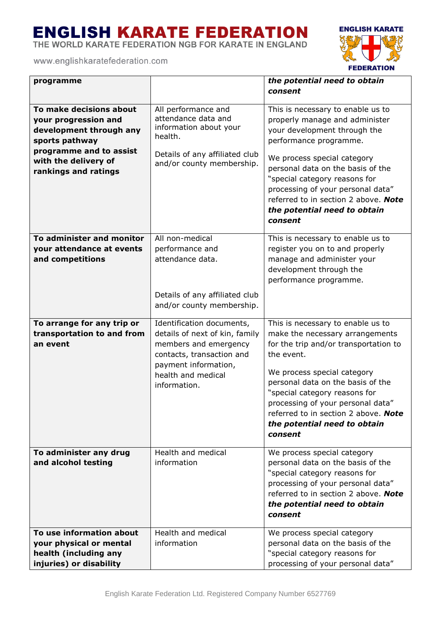THE WORLD KARATE FEDERATION NGB FOR KARATE IN ENGLAND



| programme                                                                                                                                                               |                                                                                                                                                                                 | the potential need to obtain<br>consent                                                                                                                                                                                                                                                                                                                    |
|-------------------------------------------------------------------------------------------------------------------------------------------------------------------------|---------------------------------------------------------------------------------------------------------------------------------------------------------------------------------|------------------------------------------------------------------------------------------------------------------------------------------------------------------------------------------------------------------------------------------------------------------------------------------------------------------------------------------------------------|
| To make decisions about<br>your progression and<br>development through any<br>sports pathway<br>programme and to assist<br>with the delivery of<br>rankings and ratings | All performance and<br>attendance data and<br>information about your<br>health.<br>Details of any affiliated club<br>and/or county membership.                                  | This is necessary to enable us to<br>properly manage and administer<br>your development through the<br>performance programme.<br>We process special category<br>personal data on the basis of the<br>"special category reasons for<br>processing of your personal data"<br>referred to in section 2 above. Note<br>the potential need to obtain<br>consent |
| To administer and monitor<br>your attendance at events<br>and competitions                                                                                              | All non-medical<br>performance and<br>attendance data.<br>Details of any affiliated club<br>and/or county membership.                                                           | This is necessary to enable us to<br>register you on to and properly<br>manage and administer your<br>development through the<br>performance programme.                                                                                                                                                                                                    |
| To arrange for any trip or<br>transportation to and from<br>an event                                                                                                    | Identification documents,<br>details of next of kin, family<br>members and emergency<br>contacts, transaction and<br>payment information,<br>health and medical<br>information. | This is necessary to enable us to<br>make the necessary arrangements<br>for the trip and/or transportation to<br>the event.<br>We process special category<br>personal data on the basis of the<br>"special category reasons for<br>processing of your personal data"<br>referred to in section 2 above. Note<br>the potential need to obtain<br>consent   |
| To administer any drug<br>and alcohol testing                                                                                                                           | Health and medical<br>information                                                                                                                                               | We process special category<br>personal data on the basis of the<br>"special category reasons for<br>processing of your personal data"<br>referred to in section 2 above. Note<br>the potential need to obtain<br>consent                                                                                                                                  |
| To use information about<br>your physical or mental<br>health (including any<br>injuries) or disability                                                                 | Health and medical<br>information                                                                                                                                               | We process special category<br>personal data on the basis of the<br>"special category reasons for<br>processing of your personal data"                                                                                                                                                                                                                     |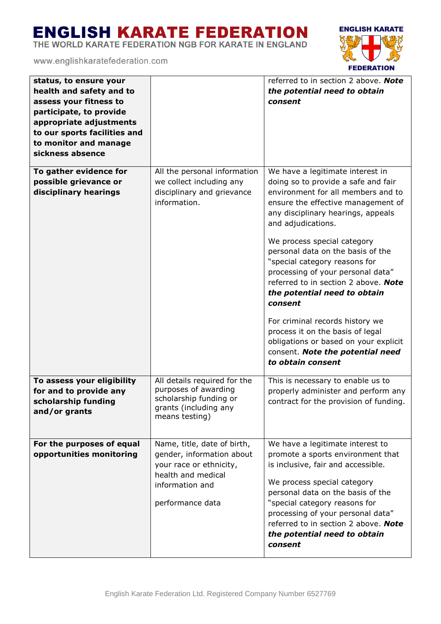THE WORLD KARATE FEDERATION NGB FOR KARATE IN ENGLAND



| status, to ensure your<br>health and safety and to<br>assess your fitness to<br>participate, to provide<br>appropriate adjustments<br>to our sports facilities and<br>to monitor and manage<br>sickness absence |                                                                                                                                                  | referred to in section 2 above. Note<br>the potential need to obtain<br>consent                                                                                                                                                                                                                                                                                                                                                                                                                                                                                                                                       |
|-----------------------------------------------------------------------------------------------------------------------------------------------------------------------------------------------------------------|--------------------------------------------------------------------------------------------------------------------------------------------------|-----------------------------------------------------------------------------------------------------------------------------------------------------------------------------------------------------------------------------------------------------------------------------------------------------------------------------------------------------------------------------------------------------------------------------------------------------------------------------------------------------------------------------------------------------------------------------------------------------------------------|
| To gather evidence for<br>possible grievance or<br>disciplinary hearings                                                                                                                                        | All the personal information<br>we collect including any<br>disciplinary and grievance<br>information.                                           | We have a legitimate interest in<br>doing so to provide a safe and fair<br>environment for all members and to<br>ensure the effective management of<br>any disciplinary hearings, appeals<br>and adjudications.<br>We process special category<br>personal data on the basis of the<br>"special category reasons for<br>processing of your personal data"<br>referred to in section 2 above. Note<br>the potential need to obtain<br>consent<br>For criminal records history we<br>process it on the basis of legal<br>obligations or based on your explicit<br>consent. Note the potential need<br>to obtain consent |
| To assess your eligibility<br>for and to provide any<br>scholarship funding<br>and/or grants                                                                                                                    | All details required for the<br>purposes of awarding<br>scholarship funding or<br>grants (including any<br>means testing)                        | This is necessary to enable us to<br>properly administer and perform any<br>contract for the provision of funding.                                                                                                                                                                                                                                                                                                                                                                                                                                                                                                    |
| For the purposes of equal<br>opportunities monitoring                                                                                                                                                           | Name, title, date of birth,<br>gender, information about<br>your race or ethnicity,<br>health and medical<br>information and<br>performance data | We have a legitimate interest to<br>promote a sports environment that<br>is inclusive, fair and accessible.<br>We process special category<br>personal data on the basis of the<br>"special category reasons for<br>processing of your personal data"<br>referred to in section 2 above. Note<br>the potential need to obtain<br>consent                                                                                                                                                                                                                                                                              |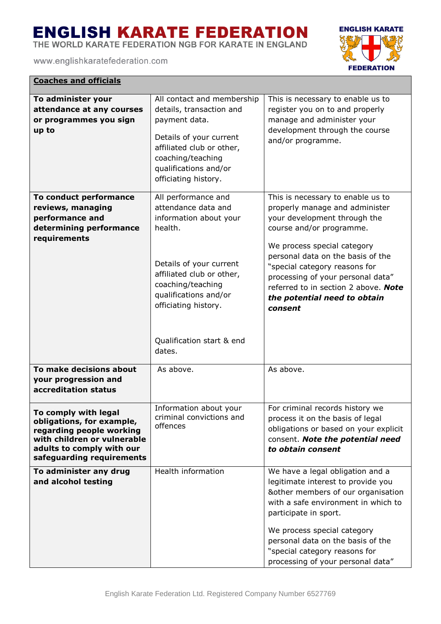THE WORLD KARATE FEDERATION NGB FOR KARATE IN ENGLAND

www.englishkaratefederation.com

**Coaches and officials**



| <u>Coaches and officials</u>                                                                                                                                           |                                                                                                                                                                                                                                                      |                                                                                                                                                                                                                                                                                                                                                              |
|------------------------------------------------------------------------------------------------------------------------------------------------------------------------|------------------------------------------------------------------------------------------------------------------------------------------------------------------------------------------------------------------------------------------------------|--------------------------------------------------------------------------------------------------------------------------------------------------------------------------------------------------------------------------------------------------------------------------------------------------------------------------------------------------------------|
| To administer your<br>attendance at any courses<br>or programmes you sign<br>up to                                                                                     | All contact and membership<br>details, transaction and<br>payment data.<br>Details of your current<br>affiliated club or other,<br>coaching/teaching<br>qualifications and/or<br>officiating history.                                                | This is necessary to enable us to<br>register you on to and properly<br>manage and administer your<br>development through the course<br>and/or programme.                                                                                                                                                                                                    |
| To conduct performance<br>reviews, managing<br>performance and<br>determining performance<br>requirements                                                              | All performance and<br>attendance data and<br>information about your<br>health.<br>Details of your current<br>affiliated club or other,<br>coaching/teaching<br>qualifications and/or<br>officiating history.<br>Qualification start & end<br>dates. | This is necessary to enable us to<br>properly manage and administer<br>your development through the<br>course and/or programme.<br>We process special category<br>personal data on the basis of the<br>"special category reasons for<br>processing of your personal data"<br>referred to in section 2 above. Note<br>the potential need to obtain<br>consent |
| To make decisions about<br>your progression and<br>accreditation status                                                                                                | As above.                                                                                                                                                                                                                                            | As above.                                                                                                                                                                                                                                                                                                                                                    |
| To comply with legal<br>obligations, for example,<br>regarding people working<br>with children or vulnerable<br>adults to comply with our<br>safeguarding requirements | Information about your<br>criminal convictions and<br>offences                                                                                                                                                                                       | For criminal records history we<br>process it on the basis of legal<br>obligations or based on your explicit<br>consent. Note the potential need<br>to obtain consent                                                                                                                                                                                        |
| To administer any drug<br>and alcohol testing                                                                                                                          | Health information                                                                                                                                                                                                                                   | We have a legal obligation and a<br>legitimate interest to provide you<br>&other members of our organisation<br>with a safe environment in which to<br>participate in sport.<br>We process special category<br>personal data on the basis of the<br>"special category reasons for<br>processing of your personal data"                                       |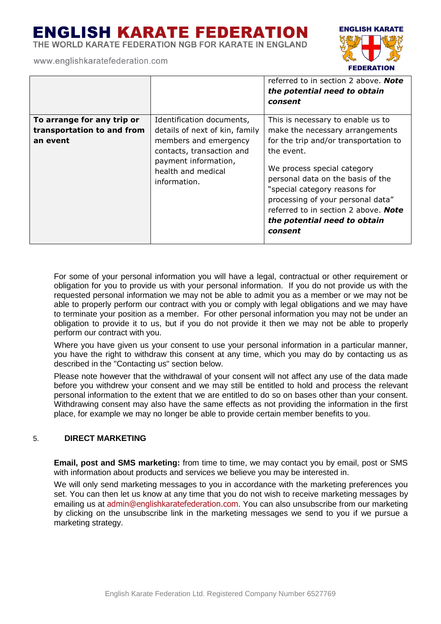THE WORLD KARATE FEDERATION NGB FOR KARATE IN ENGLAND

www.englishkaratefederation.com



| To arrange for any trip or<br>This is necessary to enable us to<br>Identification documents,<br>transportation to and from<br>make the necessary arrangements<br>details of next of kin, family<br>members and emergency<br>for the trip and/or transportation to<br>an event<br>the event.<br>contacts, transaction and<br>payment information,<br>We process special category<br>health and medical<br>personal data on the basis of the<br>information.<br>"special category reasons for<br>processing of your personal data"<br>referred to in section 2 above. <b>Note</b><br>the potential need to obtain<br>consent |  | referred to in section 2 above. <b>Note</b><br>the potential need to obtain<br>consent |
|----------------------------------------------------------------------------------------------------------------------------------------------------------------------------------------------------------------------------------------------------------------------------------------------------------------------------------------------------------------------------------------------------------------------------------------------------------------------------------------------------------------------------------------------------------------------------------------------------------------------------|--|----------------------------------------------------------------------------------------|
|                                                                                                                                                                                                                                                                                                                                                                                                                                                                                                                                                                                                                            |  |                                                                                        |

For some of your personal information you will have a legal, contractual or other requirement or obligation for you to provide us with your personal information. If you do not provide us with the requested personal information we may not be able to admit you as a member or we may not be able to properly perform our contract with you or comply with legal obligations and we may have to terminate your position as a member. For other personal information you may not be under an obligation to provide it to us, but if you do not provide it then we may not be able to properly perform our contract with you.

Where you have given us your consent to use your personal information in a particular manner, you have the right to withdraw this consent at any time, which you may do by contacting us as described in the "Contacting us" section below.

Please note however that the withdrawal of your consent will not affect any use of the data made before you withdrew your consent and we may still be entitled to hold and process the relevant personal information to the extent that we are entitled to do so on bases other than your consent. Withdrawing consent may also have the same effects as not providing the information in the first place, for example we may no longer be able to provide certain member benefits to you.

### 5. **DIRECT MARKETING**

**Email, post and SMS marketing:** from time to time, we may contact you by email, post or SMS with information about products and services we believe you may be interested in.

We will only send marketing messages to you in accordance with the marketing preferences you set. You can then let us know at any time that you do not wish to receive marketing messages by emailing us at admin@englishkaratefederation.com. You can also unsubscribe from our marketing by clicking on the unsubscribe link in the marketing messages we send to you if we pursue a marketing strategy.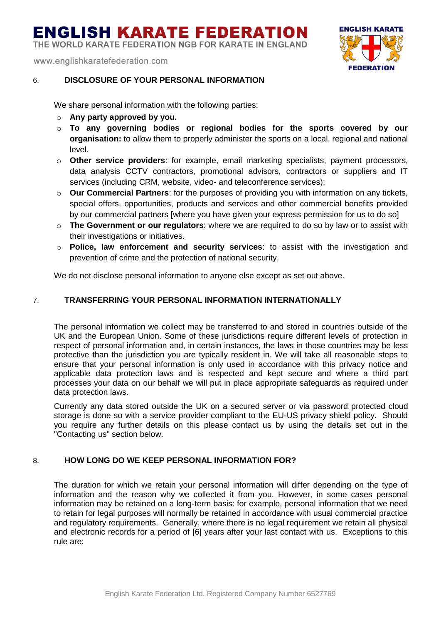THE WORLD KARATE FEDERATION NGB FOR KARATE IN ENGLAND

www.englishkaratefederation.com



### 6. **DISCLOSURE OF YOUR PERSONAL INFORMATION**

We share personal information with the following parties:

- o **Any party approved by you.**
- o **To any governing bodies or regional bodies for the sports covered by our organisation:** to allow them to properly administer the sports on a local, regional and national level.
- o **Other service providers**: for example, email marketing specialists, payment processors, data analysis CCTV contractors, promotional advisors, contractors or suppliers and IT services (including CRM, website, video- and teleconference services);
- o **Our Commercial Partners**: for the purposes of providing you with information on any tickets, special offers, opportunities, products and services and other commercial benefits provided by our commercial partners [where you have given your express permission for us to do so]
- o **The Government or our regulators**: where we are required to do so by law or to assist with their investigations or initiatives.
- o **Police, law enforcement and security services**: to assist with the investigation and prevention of crime and the protection of national security.

We do not disclose personal information to anyone else except as set out above.

### 7. **TRANSFERRING YOUR PERSONAL INFORMATION INTERNATIONALLY**

The personal information we collect may be transferred to and stored in countries outside of the UK and the European Union. Some of these jurisdictions require different levels of protection in respect of personal information and, in certain instances, the laws in those countries may be less protective than the jurisdiction you are typically resident in. We will take all reasonable steps to ensure that your personal information is only used in accordance with this privacy notice and applicable data protection laws and is respected and kept secure and where a third part processes your data on our behalf we will put in place appropriate safeguards as required under data protection laws.

Currently any data stored outside the UK on a secured server or via password protected cloud storage is done so with a service provider compliant to the EU-US privacy shield policy. Should you require any further details on this please contact us by using the details set out in the "Contacting us" section below.

### 8. **HOW LONG DO WE KEEP PERSONAL INFORMATION FOR?**

The duration for which we retain your personal information will differ depending on the type of information and the reason why we collected it from you. However, in some cases personal information may be retained on a long-term basis: for example, personal information that we need to retain for legal purposes will normally be retained in accordance with usual commercial practice and regulatory requirements. Generally, where there is no legal requirement we retain all physical and electronic records for a period of [6] years after your last contact with us. Exceptions to this rule are: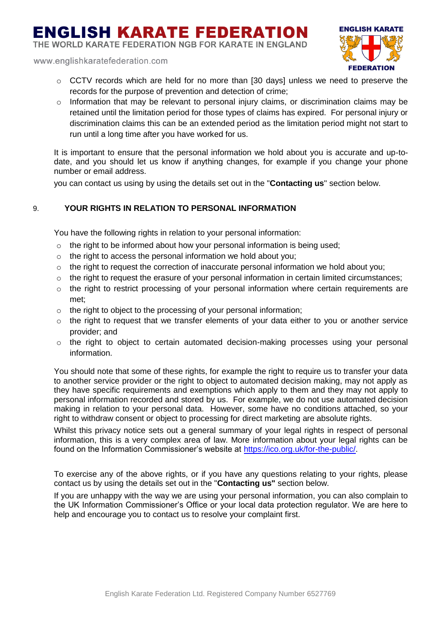THE WORLD KARATE FEDERATION NGB FOR KARATE IN ENGLAND

www.englishkaratefederation.com



- $\circ$  CCTV records which are held for no more than [30 days] unless we need to preserve the records for the purpose of prevention and detection of crime;
- $\circ$  Information that may be relevant to personal injury claims, or discrimination claims may be retained until the limitation period for those types of claims has expired. For personal injury or discrimination claims this can be an extended period as the limitation period might not start to run until a long time after you have worked for us.

It is important to ensure that the personal information we hold about you is accurate and up-todate, and you should let us know if anything changes, for example if you change your phone number or email address.

you can contact us using by using the details set out in the "**Contacting us**" section below.

### 9. **YOUR RIGHTS IN RELATION TO PERSONAL INFORMATION**

You have the following rights in relation to your personal information:

- o the right to be informed about how your personal information is being used;
- o the right to access the personal information we hold about you;
- o the right to request the correction of inaccurate personal information we hold about you;
- o the right to request the erasure of your personal information in certain limited circumstances;
- o the right to restrict processing of your personal information where certain requirements are met;
- o the right to object to the processing of your personal information;
- $\circ$  the right to request that we transfer elements of your data either to you or another service provider; and
- o the right to object to certain automated decision-making processes using your personal information.

You should note that some of these rights, for example the right to require us to transfer your data to another service provider or the right to object to automated decision making, may not apply as they have specific requirements and exemptions which apply to them and they may not apply to personal information recorded and stored by us. For example, we do not use automated decision making in relation to your personal data. However, some have no conditions attached, so your right to withdraw consent or object to processing for direct marketing are absolute rights.

Whilst this privacy notice sets out a general summary of your legal rights in respect of personal information, this is a very complex area of law. More information about your legal rights can be found on the Information Commissioner's website at [https://ico.org.uk/for-the-public/.](https://ico.org.uk/for-the-public/)

To exercise any of the above rights, or if you have any questions relating to your rights, please contact us by using the details set out in the "**Contacting us"** section below.

If you are unhappy with the way we are using your personal information, you can also complain to the UK Information Commissioner's Office or your local data protection regulator. We are here to help and encourage you to contact us to resolve your complaint first.